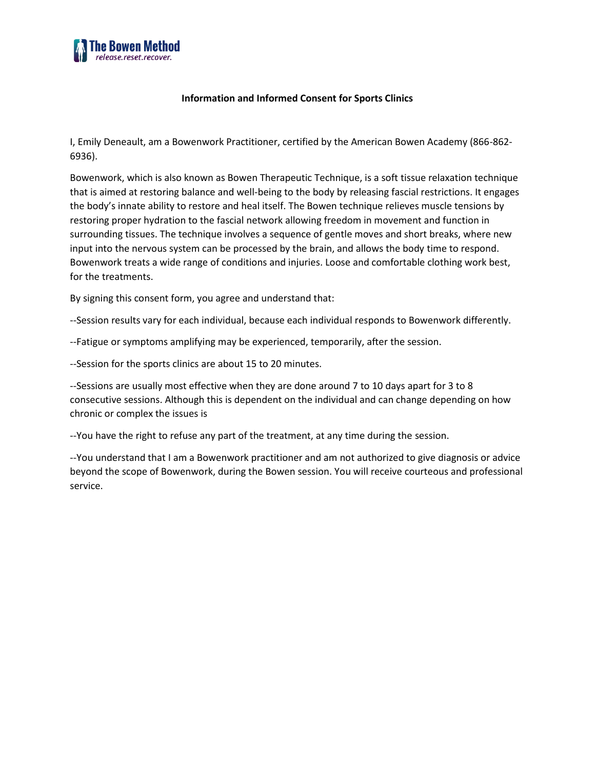

## **Information and Informed Consent for Sports Clinics**

I, Emily Deneault, am a Bowenwork Practitioner, certified by the American Bowen Academy (866-862- 6936).

Bowenwork, which is also known as Bowen Therapeutic Technique, is a soft tissue relaxation technique that is aimed at restoring balance and well-being to the body by releasing fascial restrictions. It engages the body's innate ability to restore and heal itself. The Bowen technique relieves muscle tensions by restoring proper hydration to the fascial network allowing freedom in movement and function in surrounding tissues. The technique involves a sequence of gentle moves and short breaks, where new input into the nervous system can be processed by the brain, and allows the body time to respond. Bowenwork treats a wide range of conditions and injuries. Loose and comfortable clothing work best, for the treatments.

By signing this consent form, you agree and understand that:

--Session results vary for each individual, because each individual responds to Bowenwork differently.

--Fatigue or symptoms amplifying may be experienced, temporarily, after the session.

--Session for the sports clinics are about 15 to 20 minutes.

--Sessions are usually most effective when they are done around 7 to 10 days apart for 3 to 8 consecutive sessions. Although this is dependent on the individual and can change depending on how chronic or complex the issues is

--You have the right to refuse any part of the treatment, at any time during the session.

--You understand that I am a Bowenwork practitioner and am not authorized to give diagnosis or advice beyond the scope of Bowenwork, during the Bowen session. You will receive courteous and professional service.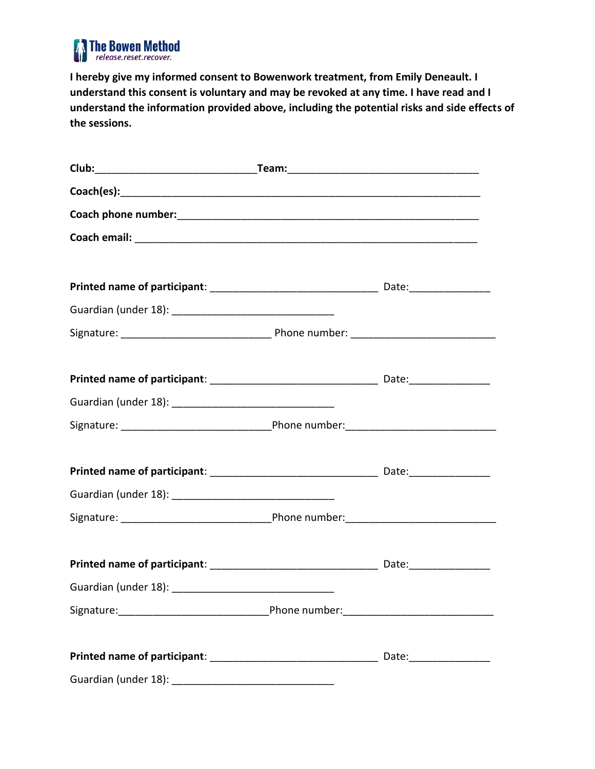

**I hereby give my informed consent to Bowenwork treatment, from Emily Deneault. I understand this consent is voluntary and may be revoked at any time. I have read and I understand the information provided above, including the potential risks and side effects of the sessions.**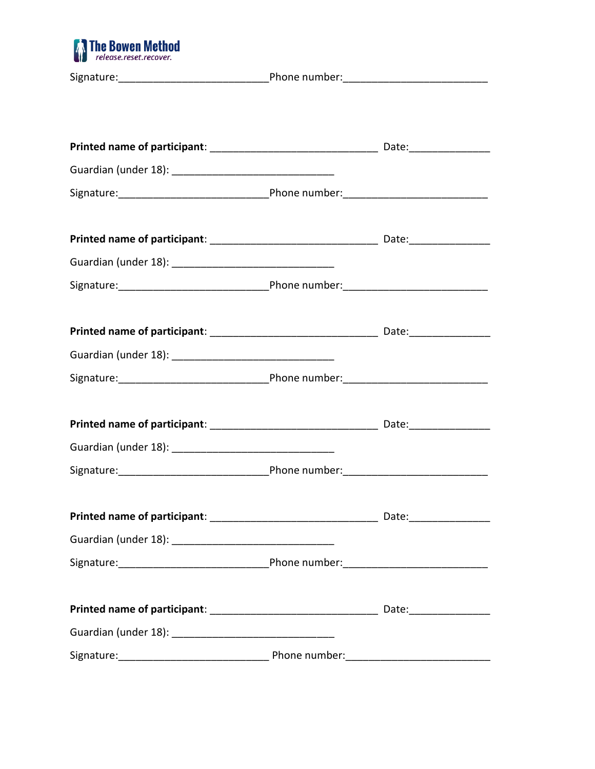